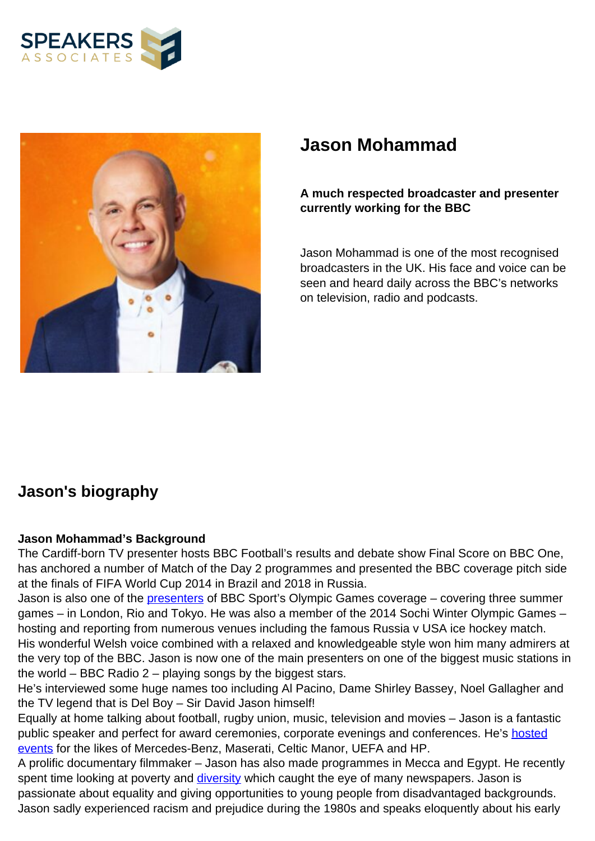



## **Jason Mohammad**

## **A much respected broadcaster and presenter currently working for the BBC**

Jason Mohammad is one of the most recognised broadcasters in the UK. His face and voice can be seen and heard daily across the BBC's networks on television, radio and podcasts.

## **Jason's biography**

## **Jason Mohammad's Background**

The Cardiff-born TV presenter hosts BBC Football's results and debate show Final Score on BBC One, has anchored a number of Match of the Day 2 programmes and presented the BBC coverage pitch side at the finals of FIFA World Cup 2014 in Brazil and 2018 in Russia.

Jason is also one of the **presenters** of BBC Sport's Olympic Games coverage – covering three summer games – in London, Rio and Tokyo. He was also a member of the 2014 Sochi Winter Olympic Games – hosting and reporting from numerous venues including the famous Russia v USA ice hockey match. His wonderful Welsh voice combined with a relaxed and knowledgeable style won him many admirers at the very top of the BBC. Jason is now one of the main presenters on one of the biggest music stations in the world  $-$  BBC Radio 2  $-$  playing songs by the biggest stars.

He's interviewed some huge names too including Al Pacino, Dame Shirley Bassey, Noel Gallagher and the TV legend that is Del Boy – Sir David Jason himself!

Equally at home talking about football, rugby union, music, television and movies – Jason is a fantastic public speaker and perfect for award ceremonies, corporate evenings and conferences. He's [hosted](https://www.speakersassociates.com/speakers/?_sft_speaking_engagement_type=event-hosting) [events](https://www.speakersassociates.com/speakers/?_sft_speaking_engagement_type=event-hosting) for the likes of Mercedes-Benz, Maserati, Celtic Manor, UEFA and HP.

A prolific documentary filmmaker – Jason has also made programmes in Mecca and Egypt. He recently spent time looking at poverty and *diversity* which caught the eye of many newspapers. Jason is passionate about equality and giving opportunities to young people from disadvantaged backgrounds. Jason sadly experienced racism and prejudice during the 1980s and speaks eloquently about his early